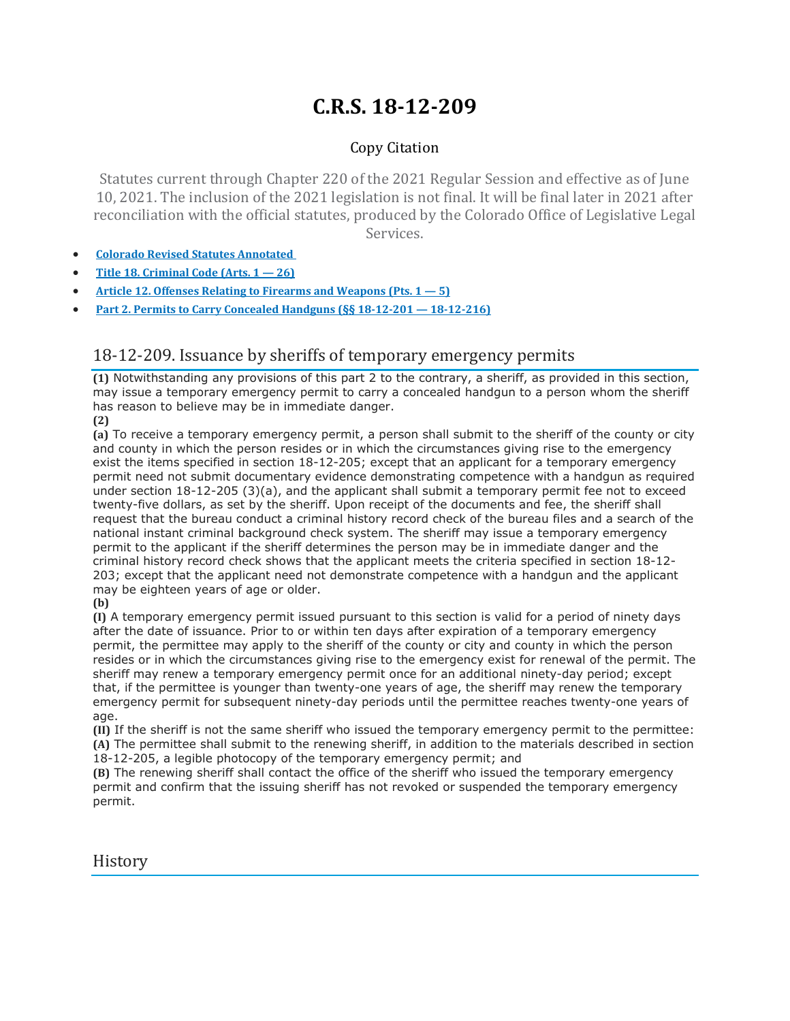## **C.R.S. 18-12-209**

## Copy Citation

Statutes current through Chapter 220 of the 2021 Regular Session and effective as of June 10, 2021. The inclusion of the 2021 legislation is not final. It will be final later in 2021 after reconciliation with the official statutes, produced by the Colorado Office of Legislative Legal Services.

- **Colorado Revised Statutes [Annotated](https://advance.lexis.com/documentpage/?pdmfid=1000516&crid=95229d5d-84cc-4588-b5fc-67a2d24728c9&pdistocdocslideraccess=true&config=014FJAAyNGJkY2Y4Zi1mNjgyLTRkN2YtYmE4OS03NTYzNzYzOTg0OGEKAFBvZENhdGFsb2d592qv2Kywlf8caKqYROP5&pddocfullpath=%2Fshared%2Fdocument%2Fstatutes-legislation%2Furn%3AcontentItem%3A61P5-WSW1-DYDC-J3D4-00008-00&pdcomponentid=234177&pdtocnodeidentifier=AASAAWAACAAJ&ecomp=sssdkkk&prid=0bbccbb2-94e1-4fa1-8481-bca3831b0a62)**
- **Title 18. [Criminal](https://advance.lexis.com/documentpage/?pdmfid=1000516&crid=95229d5d-84cc-4588-b5fc-67a2d24728c9&pdistocdocslideraccess=true&config=014FJAAyNGJkY2Y4Zi1mNjgyLTRkN2YtYmE4OS03NTYzNzYzOTg0OGEKAFBvZENhdGFsb2d592qv2Kywlf8caKqYROP5&pddocfullpath=%2Fshared%2Fdocument%2Fstatutes-legislation%2Furn%3AcontentItem%3A61P5-WSW1-DYDC-J3D4-00008-00&pdcomponentid=234177&pdtocnodeidentifier=AASAAWAACAAJ&ecomp=sssdkkk&prid=0bbccbb2-94e1-4fa1-8481-bca3831b0a62) Code (Arts. 1 — 26)**
- **Article 12. Offenses Relating to Firearms and [Weapons](https://advance.lexis.com/documentpage/?pdmfid=1000516&crid=95229d5d-84cc-4588-b5fc-67a2d24728c9&pdistocdocslideraccess=true&config=014FJAAyNGJkY2Y4Zi1mNjgyLTRkN2YtYmE4OS03NTYzNzYzOTg0OGEKAFBvZENhdGFsb2d592qv2Kywlf8caKqYROP5&pddocfullpath=%2Fshared%2Fdocument%2Fstatutes-legislation%2Furn%3AcontentItem%3A61P5-WSW1-DYDC-J3D4-00008-00&pdcomponentid=234177&pdtocnodeidentifier=AASAAWAACAAJ&ecomp=sssdkkk&prid=0bbccbb2-94e1-4fa1-8481-bca3831b0a62) (Pts. 1 — 5)**
- **Part 2. Permits to Carry Concealed Handguns (§§ 18-12-201 — [18-12-216\)](https://advance.lexis.com/documentpage/?pdmfid=1000516&crid=95229d5d-84cc-4588-b5fc-67a2d24728c9&pdistocdocslideraccess=true&config=014FJAAyNGJkY2Y4Zi1mNjgyLTRkN2YtYmE4OS03NTYzNzYzOTg0OGEKAFBvZENhdGFsb2d592qv2Kywlf8caKqYROP5&pddocfullpath=%2Fshared%2Fdocument%2Fstatutes-legislation%2Furn%3AcontentItem%3A61P5-WSW1-DYDC-J3D4-00008-00&pdcomponentid=234177&pdtocnodeidentifier=AASAAWAACAAJ&ecomp=sssdkkk&prid=0bbccbb2-94e1-4fa1-8481-bca3831b0a62)**

## 18-12-209. Issuance by sheriffs of temporary emergency permits

**(1)** Notwithstanding any provisions of this part 2 to the contrary, a sheriff, as provided in this section, may issue a temporary emergency permit to carry a concealed handgun to a person whom the sheriff has reason to believe may be in immediate danger.

**(2)**

**(a)** To receive a temporary emergency permit, a person shall submit to the sheriff of the county or city and county in which the person resides or in which the circumstances giving rise to the emergency exist the items specified in section 18-12-205; except that an applicant for a temporary emergency permit need not submit documentary evidence demonstrating competence with a handgun as required under section 18-12-205 (3)(a), and the applicant shall submit a temporary permit fee not to exceed twenty-five dollars, as set by the sheriff. Upon receipt of the documents and fee, the sheriff shall request that the bureau conduct a criminal history record check of the bureau files and a search of the national instant criminal background check system. The sheriff may issue a temporary emergency permit to the applicant if the sheriff determines the person may be in immediate danger and the criminal history record check shows that the applicant meets the criteria specified in section 18-12- 203; except that the applicant need not demonstrate competence with a handgun and the applicant may be eighteen years of age or older.

**(b)**

**(I)** A temporary emergency permit issued pursuant to this section is valid for a period of ninety days after the date of issuance. Prior to or within ten days after expiration of a temporary emergency permit, the permittee may apply to the sheriff of the county or city and county in which the person resides or in which the circumstances giving rise to the emergency exist for renewal of the permit. The sheriff may renew a temporary emergency permit once for an additional ninety-day period; except that, if the permittee is younger than twenty-one years of age, the sheriff may renew the temporary emergency permit for subsequent ninety-day periods until the permittee reaches twenty-one years of age.

**(II)** If the sheriff is not the same sheriff who issued the temporary emergency permit to the permittee: **(A)** The permittee shall submit to the renewing sheriff, in addition to the materials described in section 18-12-205, a legible photocopy of the temporary emergency permit; and

**(B)** The renewing sheriff shall contact the office of the sheriff who issued the temporary emergency permit and confirm that the issuing sheriff has not revoked or suspended the temporary emergency permit.

**History**